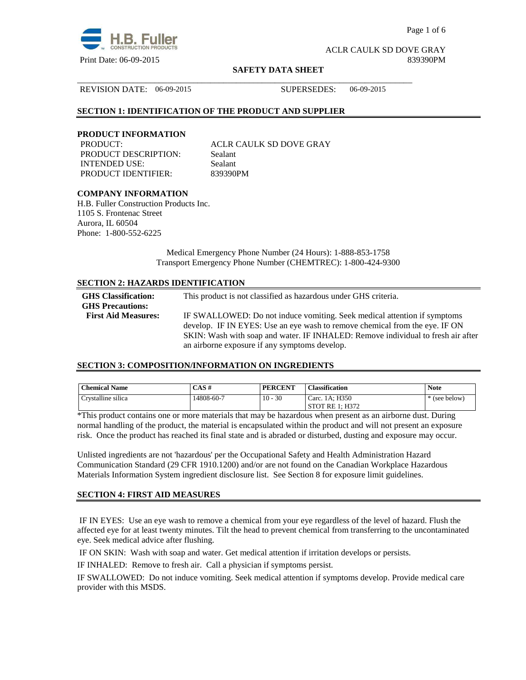

Page 1 of 6

ACLR CAULK SD DOVE GRAY Print Date: 06-09-2015 839390PM

#### **SAFETY DATA SHEET**

\_\_\_\_\_\_\_\_\_\_\_\_\_\_\_\_\_\_\_\_\_\_\_\_\_\_\_\_\_\_\_\_\_\_\_\_\_\_\_\_\_\_\_\_\_\_\_\_\_\_\_\_\_\_\_\_\_\_\_\_\_\_\_\_\_\_\_\_\_\_\_\_\_\_\_\_\_\_

REVISION DATE: 06-09-2015 SUPERSEDES: 06-09-2015

## **SECTION 1: IDENTIFICATION OF THE PRODUCT AND SUPPLIER**

#### **PRODUCT INFORMATION**

PRODUCT DESCRIPTION: Sealant INTENDED USE: Sealant PRODUCT IDENTIFIER: 839390PM

PRODUCT: ACLR CAULK SD DOVE GRAY

## **COMPANY INFORMATION**

H.B. Fuller Construction Products Inc. 1105 S. Frontenac Street Aurora, IL 60504 Phone: 1-800-552-6225

> Medical Emergency Phone Number (24 Hours): 1-888-853-1758 Transport Emergency Phone Number (CHEMTREC): 1-800-424-9300

## **SECTION 2: HAZARDS IDENTIFICATION**

| <b>GHS</b> Classification:<br><b>GHS Precautions:</b> | This product is not classified as hazardous under GHS criteria.                                                                                         |
|-------------------------------------------------------|---------------------------------------------------------------------------------------------------------------------------------------------------------|
| <b>First Aid Measures:</b>                            | IF SWALLOWED: Do not induce vomiting. Seek medical attention if symptoms<br>develop. IF IN EYES: Use an eye wash to remove chemical from the eye. IF ON |
|                                                       | SKIN: Wash with soap and water. IF INHALED: Remove individual to fresh air after<br>an airborne exposure if any symptoms develop.                       |

#### **SECTION 3: COMPOSITION/INFORMATION ON INGREDIENTS**

| <b>Chemical Name</b> | CAS#       | <b>PERCENT</b> | <b>Classification</b> | <b>Note</b> |
|----------------------|------------|----------------|-----------------------|-------------|
| Crystalline silica   | 14808-60-7 | $10 - 30$      | Carc. 1A: H350        | (see below) |
|                      |            |                | STOT RE 1: H372       |             |

\*This product contains one or more materials that may be hazardous when present as an airborne dust. During normal handling of the product, the material is encapsulated within the product and will not present an exposure risk. Once the product has reached its final state and is abraded or disturbed, dusting and exposure may occur.

Unlisted ingredients are not 'hazardous' per the Occupational Safety and Health Administration Hazard Communication Standard (29 CFR 1910.1200) and/or are not found on the Canadian Workplace Hazardous Materials Information System ingredient disclosure list. See Section 8 for exposure limit guidelines.

#### **SECTION 4: FIRST AID MEASURES**

 IF IN EYES: Use an eye wash to remove a chemical from your eye regardless of the level of hazard. Flush the affected eye for at least twenty minutes. Tilt the head to prevent chemical from transferring to the uncontaminated eye. Seek medical advice after flushing.

IF ON SKIN: Wash with soap and water. Get medical attention if irritation develops or persists.

IF INHALED: Remove to fresh air. Call a physician if symptoms persist.

IF SWALLOWED:Do not induce vomiting. Seek medical attention if symptoms develop. Provide medical care provider with this MSDS.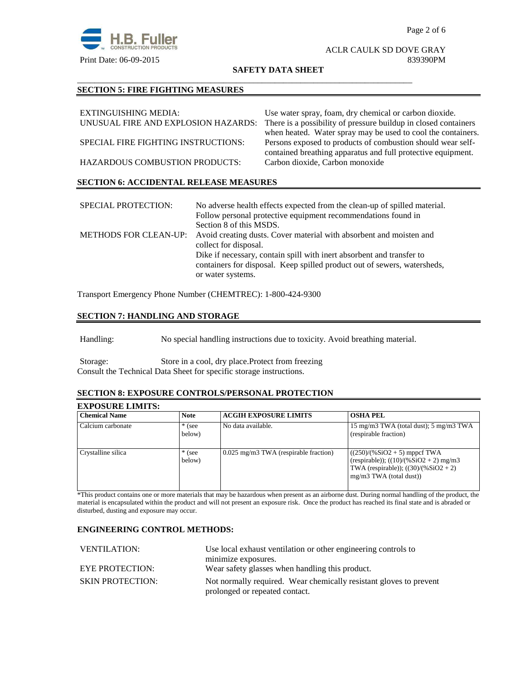

#### ACLR CAULK SD DOVE GRAY Print Date: 06-09-2015 839390PM

#### **SAFETY DATA SHEET**

\_\_\_\_\_\_\_\_\_\_\_\_\_\_\_\_\_\_\_\_\_\_\_\_\_\_\_\_\_\_\_\_\_\_\_\_\_\_\_\_\_\_\_\_\_\_\_\_\_\_\_\_\_\_\_\_\_\_\_\_\_\_\_\_\_\_\_\_\_\_\_\_\_\_\_\_\_\_

## **SECTION 5: FIRE FIGHTING MEASURES**

| EXTINGUISHING MEDIA:                          | Use water spray, foam, dry chemical or carbon dioxide.          |  |  |
|-----------------------------------------------|-----------------------------------------------------------------|--|--|
| UNUSUAL FIRE AND EXPLOSION HAZARDS:           | There is a possibility of pressure buildup in closed containers |  |  |
|                                               | when heated. Water spray may be used to cool the containers.    |  |  |
| SPECIAL FIRE FIGHTING INSTRUCTIONS:           | Persons exposed to products of combustion should wear self-     |  |  |
|                                               | contained breathing apparatus and full protective equipment.    |  |  |
| <b>HAZARDOUS COMBUSTION PRODUCTS:</b>         | Carbon dioxide, Carbon monoxide                                 |  |  |
|                                               |                                                                 |  |  |
| <b>SECTION 6: ACCIDENTAL RELEASE MEASURES</b> |                                                                 |  |  |

| <b>SPECIAL PROTECTION:</b>   | No adverse health effects expected from the clean-up of spilled material.<br>Follow personal protective equipment recommendations found in<br>Section 8 of this MSDS.  |
|------------------------------|------------------------------------------------------------------------------------------------------------------------------------------------------------------------|
| <b>METHODS FOR CLEAN-UP:</b> | Avoid creating dusts. Cover material with absorbent and moisten and<br>collect for disposal.                                                                           |
|                              | Dike if necessary, contain spill with inert absorbent and transfer to<br>containers for disposal. Keep spilled product out of sewers, watersheds,<br>or water systems. |

Transport Emergency Phone Number (CHEMTREC): 1-800-424-9300

## **SECTION 7: HANDLING AND STORAGE**

Handling: No special handling instructions due to toxicity. Avoid breathing material.

Storage: Store in a cool, dry place.Protect from freezing Consult the Technical Data Sheet for specific storage instructions.

#### **SECTION 8: EXPOSURE CONTROLS/PERSONAL PROTECTION**

## **EXPOSURE LIMITS:**

| <b>Chemical Name</b> | <b>Note</b>        | <b>ACGIH EXPOSURE LIMITS</b>            | <b>OSHA PEL</b>                                                                                                                                    |
|----------------------|--------------------|-----------------------------------------|----------------------------------------------------------------------------------------------------------------------------------------------------|
| Calcium carbonate    | $*$ (see<br>below) | No data available.                      | 15 mg/m3 TWA (total dust); 5 mg/m3 TWA<br>(respirable fraction)                                                                                    |
| Crystalline silica   | $*$ (see<br>below) | $0.025$ mg/m3 TWA (respirable fraction) | $((250)/(%SiO2 + 5)$ mppcf TWA<br>(respirable)); $((10)/(%SiO2 + 2)$ mg/m3<br>TWA (respirable)); $((30)/(%SiO2 + 2))$<br>$mg/m3$ TWA (total dust)) |

\*This product contains one or more materials that may be hazardous when present as an airborne dust. During normal handling of the product, the material is encapsulated within the product and will not present an exposure risk. Once the product has reached its final state and is abraded or disturbed, dusting and exposure may occur.

## **ENGINEERING CONTROL METHODS:**

| Use local exhaust ventilation or other engineering controls to                                       |  |
|------------------------------------------------------------------------------------------------------|--|
| minimize exposures.                                                                                  |  |
| Wear safety glasses when handling this product.                                                      |  |
| Not normally required. Wear chemically resistant gloves to prevent<br>prolonged or repeated contact. |  |
|                                                                                                      |  |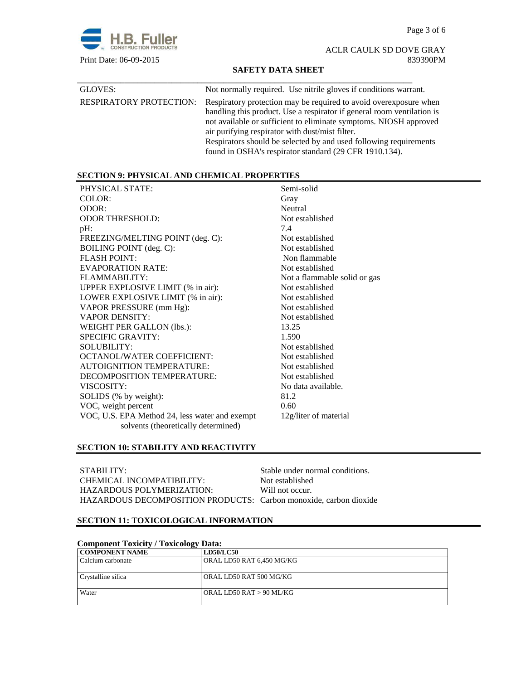Page 3 of 6



ACLR CAULK SD DOVE GRAY Print Date: 06-09-2015 839390PM

## **SAFETY DATA SHEET**

| GLOVES:                        | Not normally required. Use nitrile gloves if conditions warrant.                                                                                                                                                                                                                                                                                                                                    |
|--------------------------------|-----------------------------------------------------------------------------------------------------------------------------------------------------------------------------------------------------------------------------------------------------------------------------------------------------------------------------------------------------------------------------------------------------|
| <b>RESPIRATORY PROTECTION:</b> | Respiratory protection may be required to avoid over exposure when<br>handling this product. Use a respirator if general room ventilation is<br>not available or sufficient to eliminate symptoms. NIOSH approved<br>air purifying respirator with dust/mist filter.<br>Respirators should be selected by and used following requirements<br>found in OSHA's respirator standard (29 CFR 1910.134). |

## **SECTION 9: PHYSICAL AND CHEMICAL PROPERTIES**

| PHYSICAL STATE:                                | Semi-solid                   |
|------------------------------------------------|------------------------------|
| COLOR:                                         | Gray                         |
| ODOR:                                          | Neutral                      |
| <b>ODOR THRESHOLD:</b>                         | Not established              |
| pH:                                            | 7.4                          |
| FREEZING/MELTING POINT (deg. C):               | Not established              |
| BOILING POINT (deg. C):                        | Not established              |
| <b>FLASH POINT:</b>                            | Non flammable                |
| EVAPORATION RATE:                              | Not established              |
| FLAMMABILITY:                                  | Not a flammable solid or gas |
| UPPER EXPLOSIVE LIMIT (% in air):              | Not established              |
| LOWER EXPLOSIVE LIMIT (% in air):              | Not established              |
| VAPOR PRESSURE (mm Hg):                        | Not established              |
| <b>VAPOR DENSITY:</b>                          | Not established              |
| <b>WEIGHT PER GALLON (lbs.):</b>               | 13.25                        |
| <b>SPECIFIC GRAVITY:</b>                       | 1.590                        |
| <b>SOLUBILITY:</b>                             | Not established              |
| <b>OCTANOL/WATER COEFFICIENT:</b>              | Not established              |
| <b>AUTOIGNITION TEMPERATURE:</b>               | Not established              |
| DECOMPOSITION TEMPERATURE:                     | Not established              |
| VISCOSITY:                                     | No data available.           |
| SOLIDS (% by weight):                          | 81.2                         |
| VOC, weight percent                            | 0.60                         |
| VOC, U.S. EPA Method 24, less water and exempt | 12g/liter of material        |
| solvents (theoretically determined)            |                              |

## **SECTION 10: STABILITY AND REACTIVITY**

| STABILITY:                                                        | Stable under normal conditions. |
|-------------------------------------------------------------------|---------------------------------|
| CHEMICAL INCOMPATIBILITY:                                         | Not established                 |
| HAZARDOUS POLYMERIZATION:                                         | Will not occur.                 |
| HAZARDOUS DECOMPOSITION PRODUCTS: Carbon monoxide, carbon dioxide |                                 |

## **SECTION 11: TOXICOLOGICAL INFORMATION**

| <b>Component Toxicity / Toxicology Data:</b> |                           |  |  |
|----------------------------------------------|---------------------------|--|--|
| <b>COMPONENT NAME</b>                        | <b>LD50/LC50</b>          |  |  |
| Calcium carbonate                            | ORAL LD50 RAT 6,450 MG/KG |  |  |
| Crystalline silica                           | ORAL LD50 RAT 500 MG/KG   |  |  |
| Water                                        | ORAL LD50 RAT > 90 ML/KG  |  |  |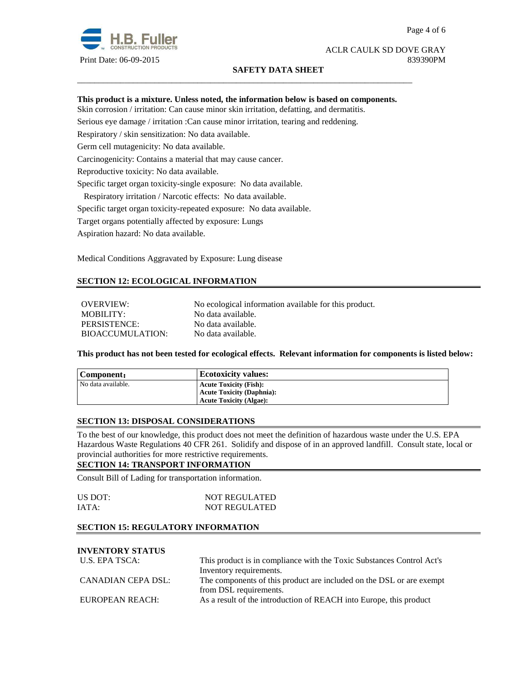

## ACLR CAULK SD DOVE GRAY Print Date: 06-09-2015 839390PM

## **SAFETY DATA SHEET**

## **This product is a mixture. Unless noted, the information below is based on components.**

\_\_\_\_\_\_\_\_\_\_\_\_\_\_\_\_\_\_\_\_\_\_\_\_\_\_\_\_\_\_\_\_\_\_\_\_\_\_\_\_\_\_\_\_\_\_\_\_\_\_\_\_\_\_\_\_\_\_\_\_\_\_\_\_\_\_\_\_\_\_\_\_\_\_\_\_\_\_

Skin corrosion / irritation: Can cause minor skin irritation, defatting, and dermatitis.

Serious eye damage / irritation :Can cause minor irritation, tearing and reddening.

Respiratory / skin sensitization: No data available.

Germ cell mutagenicity: No data available.

Carcinogenicity: Contains a material that may cause cancer.

Reproductive toxicity: No data available.

Specific target organ toxicity-single exposure:No data available.

Respiratory irritation / Narcotic effects: No data available.

Specific target organ toxicity-repeated exposure:No data available.

Target organs potentially affected by exposure: Lungs

Aspiration hazard: No data available.

Medical Conditions Aggravated by Exposure: Lung disease

## **SECTION 12: ECOLOGICAL INFORMATION**

OVERVIEW: No ecological information available for this product. MOBILITY: No data available. PERSISTENCE: No data available. BIOACCUMULATION: No data available.

**This product has not been tested for ecological effects. Relevant information for components is listed below:** 

| Component:         | <b>Ecotoxicity values:</b>       |
|--------------------|----------------------------------|
| No data available. | <b>Acute Toxicity (Fish):</b>    |
|                    | <b>Acute Toxicity (Daphnia):</b> |
|                    | <b>Acute Toxicity (Algae):</b>   |

#### **SECTION 13: DISPOSAL CONSIDERATIONS**

To the best of our knowledge, this product does not meet the definition of hazardous waste under the U.S. EPA Hazardous Waste Regulations 40 CFR 261. Solidify and dispose of in an approved landfill. Consult state, local or provincial authorities for more restrictive requirements.

#### **SECTION 14: TRANSPORT INFORMATION**

Consult Bill of Lading for transportation information.

| US DOT: | <b>NOT REGULATED</b> |
|---------|----------------------|
| IATA:   | <b>NOT REGULATED</b> |

## **SECTION 15: REGULATORY INFORMATION**

# **INVENTORY STATUS**

| U.S. EPA TSCA:     | This product is in compliance with the Toxic Substances Control Act's |  |
|--------------------|-----------------------------------------------------------------------|--|
|                    | Inventory requirements.                                               |  |
| CANADIAN CEPA DSL: | The components of this product are included on the DSL or are exempt  |  |
|                    | from DSL requirements.                                                |  |
| EUROPEAN REACH:    | As a result of the introduction of REACH into Europe, this product    |  |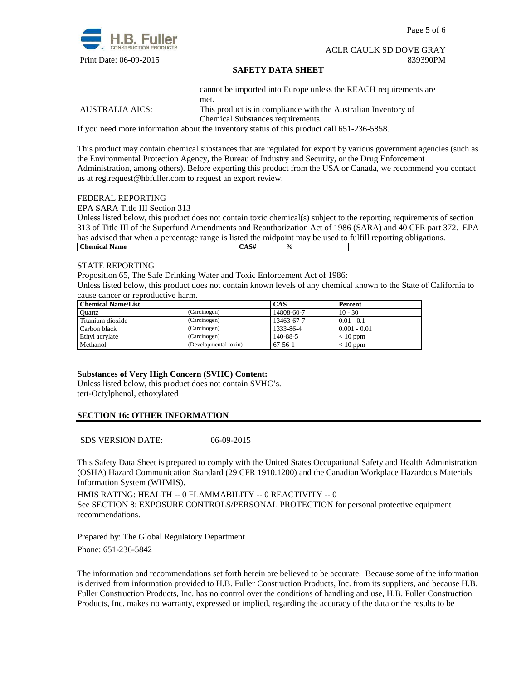

Page 5 of 6

#### ACLR CAULK SD DOVE GRAY Print Date: 06-09-2015 839390PM

#### **SAFETY DATA SHEET**

cannot be imported into Europe unless the REACH requirements are met.

AUSTRALIA AICS: This product is in compliance with the Australian Inventory of Chemical Substances requirements.

If you need more information about the inventory status of this product call 651-236-5858.

\_\_\_\_\_\_\_\_\_\_\_\_\_\_\_\_\_\_\_\_\_\_\_\_\_\_\_\_\_\_\_\_\_\_\_\_\_\_\_\_\_\_\_\_\_\_\_\_\_\_\_\_\_\_\_\_\_\_\_\_\_\_\_\_\_\_\_\_\_\_\_\_\_\_\_\_\_\_

This product may contain chemical substances that are regulated for export by various government agencies (such as the Environmental Protection Agency, the Bureau of Industry and Security, or the Drug Enforcement Administration, among others). Before exporting this product from the USA or Canada, we recommend you contact us at reg.request@hbfuller.com to request an export review.

#### FEDERAL REPORTING

EPA SARA Title III Section 313

Unless listed below, this product does not contain toxic chemical(s) subject to the reporting requirements of section 313 of Title III of the Superfund Amendments and Reauthorization Act of 1986 (SARA) and 40 CFR part 372. EPA has advised that when a percentage range is listed the midpoint may be used to fulfill reporting obligations. **Chemical Name**  $\qquad \qquad$   $\qquad \qquad$   $\qquad \qquad$   $\qquad \qquad$   $\qquad \qquad$   $\qquad \qquad$   $\qquad \qquad$   $\qquad \qquad$   $\qquad \qquad$   $\qquad \qquad$   $\qquad \qquad$   $\qquad \qquad$   $\qquad \qquad$   $\qquad \qquad$   $\qquad \qquad$   $\qquad \qquad$   $\qquad \qquad$   $\qquad \qquad$   $\qquad \qquad$   $\qquad \qquad$   $\qquad \qquad$   $\qquad \qquad$   $\qquad \qquad$ 

#### STATE REPORTING

Proposition 65, The Safe Drinking Water and Toxic Enforcement Act of 1986:

Unless listed below, this product does not contain known levels of any chemical known to the State of California to cause cancer or reproductive harm.

| <b>Chemical Name/List</b> |                       | CAS           | Percent        |
|---------------------------|-----------------------|---------------|----------------|
| Ouartz                    | (Carcinogen)          | 14808-60-7    | $10 - 30$      |
| Titanium dioxide          | (Carcinogen)          | 13463-67-7    | $0.01 - 0.1$   |
| Carbon black              | (Carcinogen)          | 1333-86-4     | $0.001 - 0.01$ |
| Ethyl acrylate            | (Carcinogen)          | 140-88-5      | $< 10$ ppm     |
| Methanol                  | (Developmental toxin) | $67 - 56 - 1$ | $< 10$ ppm     |

## **Substances of Very High Concern (SVHC) Content:**

Unless listed below, this product does not contain SVHC's. tert-Octylphenol, ethoxylated

## **SECTION 16: OTHER INFORMATION**

SDS VERSION DATE: 06-09-2015

This Safety Data Sheet is prepared to comply with the United States Occupational Safety and Health Administration (OSHA) Hazard Communication Standard (29 CFR 1910.1200) and the Canadian Workplace Hazardous Materials Information System (WHMIS).

HMIS RATING: HEALTH -- 0 FLAMMABILITY -- 0 REACTIVITY -- 0 See SECTION 8: EXPOSURE CONTROLS/PERSONAL PROTECTION for personal protective equipment recommendations.

Prepared by: The Global Regulatory Department Phone: 651-236-5842

The information and recommendations set forth herein are believed to be accurate. Because some of the information is derived from information provided to H.B. Fuller Construction Products, Inc. from its suppliers, and because H.B. Fuller Construction Products, Inc. has no control over the conditions of handling and use, H.B. Fuller Construction Products, Inc. makes no warranty, expressed or implied, regarding the accuracy of the data or the results to be